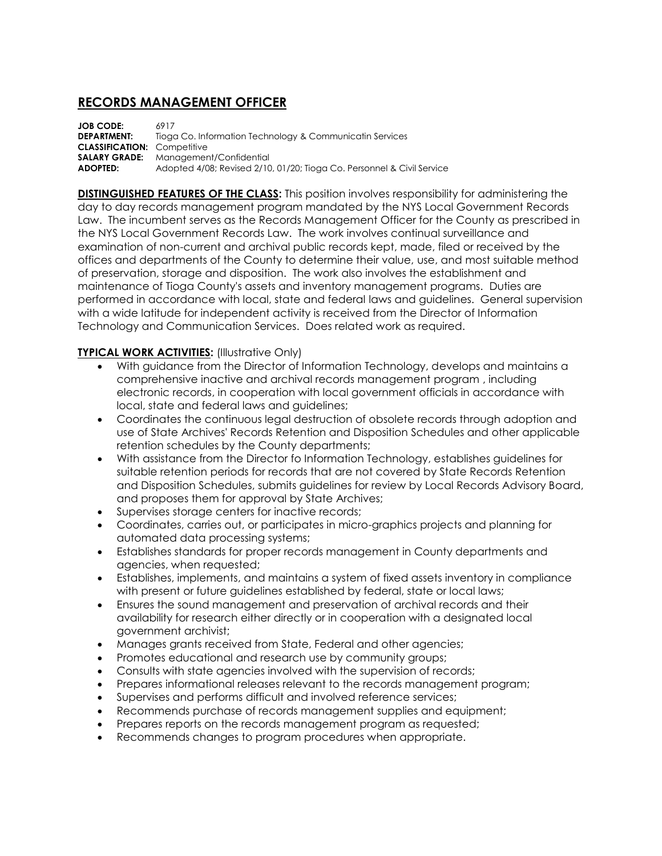## **RECORDS MANAGEMENT OFFICER**

**JOB CODE:** 6917<br>**DEPARTMENT:** Tiogo Tioga Co. Information Technology & Communicatin Services **CLASSIFICATION:** Competitive **SALARY GRADE:** Management/Confidential **ADOPTED:** Adopted 4/08; Revised 2/10, 01/20; Tioga Co. Personnel & Civil Service

**DISTINGUISHED FEATURES OF THE CLASS:** This position involves responsibility for administering the day to day records management program mandated by the NYS Local Government Records Law. The incumbent serves as the Records Management Officer for the County as prescribed in the NYS Local Government Records Law. The work involves continual surveillance and examination of non-current and archival public records kept, made, filed or received by the offices and departments of the County to determine their value, use, and most suitable method of preservation, storage and disposition. The work also involves the establishment and maintenance of Tioga County's assets and inventory management programs. Duties are performed in accordance with local, state and federal laws and guidelines. General supervision with a wide latitude for independent activity is received from the Director of Information Technology and Communication Services. Does related work as required.

## **TYPICAL WORK ACTIVITIES:** (Illustrative Only)

- With guidance from the Director of Information Technology, develops and maintains a comprehensive inactive and archival records management program , including electronic records, in cooperation with local government officials in accordance with local, state and federal laws and guidelines;
- Coordinates the continuous legal destruction of obsolete records through adoption and use of State Archives' Records Retention and Disposition Schedules and other applicable retention schedules by the County departments;
- With assistance from the Director fo Information Technology, establishes guidelines for suitable retention periods for records that are not covered by State Records Retention and Disposition Schedules, submits guidelines for review by Local Records Advisory Board, and proposes them for approval by State Archives;
- Supervises storage centers for inactive records;
- Coordinates, carries out, or participates in micro-graphics projects and planning for automated data processing systems;
- Establishes standards for proper records management in County departments and agencies, when requested;
- Establishes, implements, and maintains a system of fixed assets inventory in compliance with present or future guidelines established by federal, state or local laws;
- Ensures the sound management and preservation of archival records and their availability for research either directly or in cooperation with a designated local government archivist;
- Manages grants received from State, Federal and other agencies;
- Promotes educational and research use by community groups;
- Consults with state agencies involved with the supervision of records;
- Prepares informational releases relevant to the records management program;
- Supervises and performs difficult and involved reference services;
- Recommends purchase of records management supplies and equipment;
- Prepares reports on the records management program as requested;
- Recommends changes to program procedures when appropriate.